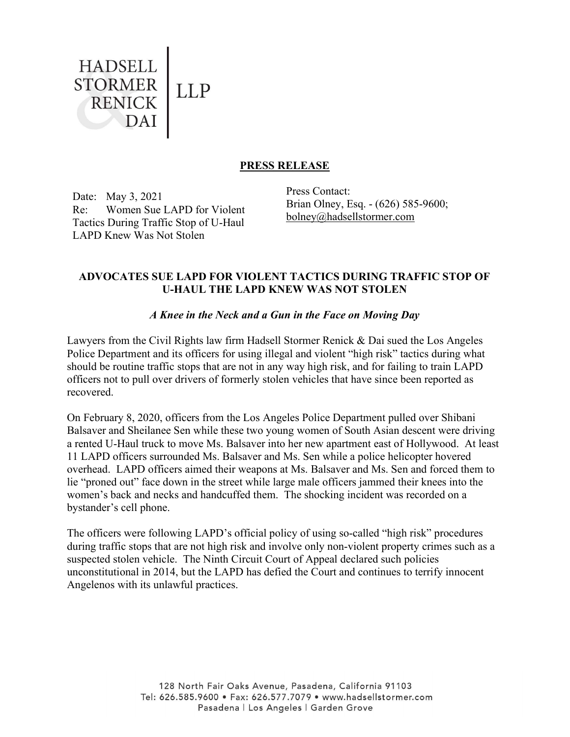

## PRESS RELEASE

Date: May 3, 2021 Re: Women Sue LAPD for Violent Tactics During Traffic Stop of U-Haul LAPD Knew Was Not Stolen

Press Contact: Brian Olney, Esq. - (626) 585-9600; bolney@hadsellstormer.com

## ADVOCATES SUE LAPD FOR VIOLENT TACTICS DURING TRAFFIC STOP OF U-HAUL THE LAPD KNEW WAS NOT STOLEN

## A Knee in the Neck and a Gun in the Face on Moving Day

Lawyers from the Civil Rights law firm Hadsell Stormer Renick & Dai sued the Los Angeles Police Department and its officers for using illegal and violent "high risk" tactics during what should be routine traffic stops that are not in any way high risk, and for failing to train LAPD officers not to pull over drivers of formerly stolen vehicles that have since been reported as recovered.

On February 8, 2020, officers from the Los Angeles Police Department pulled over Shibani Balsaver and Sheilanee Sen while these two young women of South Asian descent were driving a rented U-Haul truck to move Ms. Balsaver into her new apartment east of Hollywood. At least 11 LAPD officers surrounded Ms. Balsaver and Ms. Sen while a police helicopter hovered overhead. LAPD officers aimed their weapons at Ms. Balsaver and Ms. Sen and forced them to lie "proned out" face down in the street while large male officers jammed their knees into the women's back and necks and handcuffed them. The shocking incident was recorded on a bystander's cell phone.

The officers were following LAPD's official policy of using so-called "high risk" procedures during traffic stops that are not high risk and involve only non-violent property crimes such as a suspected stolen vehicle. The Ninth Circuit Court of Appeal declared such policies unconstitutional in 2014, but the LAPD has defied the Court and continues to terrify innocent Angelenos with its unlawful practices.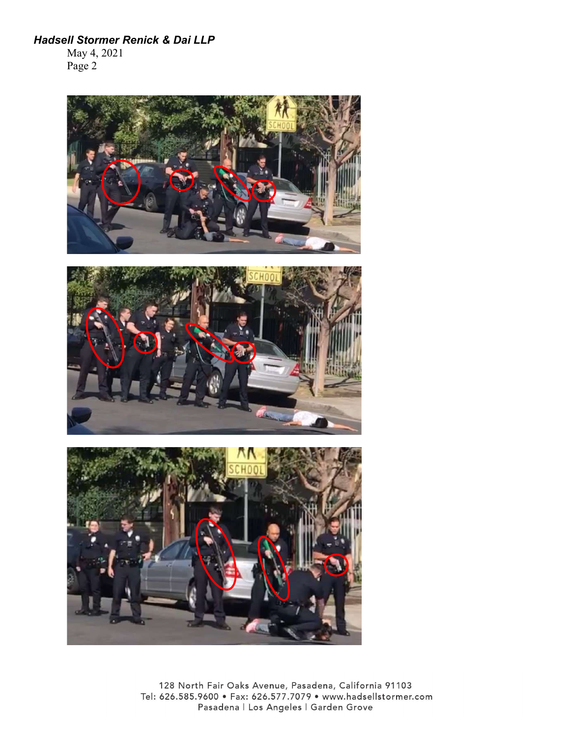## Hadsell Stormer Renick & Dai LLP

May 4, 2021 Page 2







128 North Fair Oaks Avenue, Pasadena, California 91103 Tel: 626.585.9600 · Fax: 626.577.7079 · www.hadsellstormer.com Pasadena | Los Angeles | Garden Grove